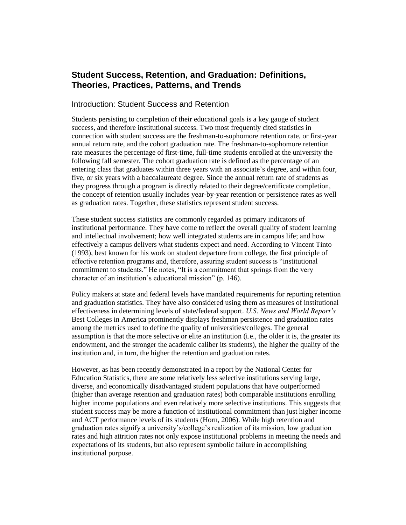# **Student Success, Retention, and Graduation: Definitions, Theories, Practices, Patterns, and Trends**

### Introduction: Student Success and Retention

Students persisting to completion of their educational goals is a key gauge of student success, and therefore institutional success. Two most frequently cited statistics in connection with student success are the freshman-to-sophomore retention rate, or first-year annual return rate, and the cohort graduation rate. The freshman-to-sophomore retention rate measures the percentage of first-time, full-time students enrolled at the university the following fall semester. The cohort graduation rate is defined as the percentage of an entering class that graduates within three years with an associate's degree, and within four, five, or six years with a baccalaureate degree. Since the annual return rate of students as they progress through a program is directly related to their degree/certificate completion, the concept of retention usually includes year-by-year retention or persistence rates as well as graduation rates. Together, these statistics represent student success.

These student success statistics are commonly regarded as primary indicators of institutional performance. They have come to reflect the overall quality of student learning and intellectual involvement; how well integrated students are in campus life; and how effectively a campus delivers what students expect and need. According to Vincent Tinto (1993), best known for his work on student departure from college, the first principle of effective retention programs and, therefore, assuring student success is "institutional commitment to students." He notes, "It is a commitment that springs from the very character of an institution's educational mission" (p. 146).

Policy makers at state and federal levels have mandated requirements for reporting retention and graduation statistics. They have also considered using them as measures of institutional effectiveness in determining levels of state/federal support. *U.S. News and World Report's* Best Colleges in America prominently displays freshman persistence and graduation rates among the metrics used to define the quality of universities/colleges. The general assumption is that the more selective or elite an institution (i.e., the older it is, the greater its endowment, and the stronger the academic caliber its students), the higher the quality of the institution and, in turn, the higher the retention and graduation rates.

However, as has been recently demonstrated in a report by the National Center for Education Statistics, there are some relatively less selective institutions serving large, diverse, and economically disadvantaged student populations that have outperformed (higher than average retention and graduation rates) both comparable institutions enrolling higher income populations and even relatively more selective institutions. This suggests that student success may be more a function of institutional commitment than just higher income and ACT performance levels of its students (Horn, 2006). While high retention and graduation rates signify a university's/college's realization of its mission, low graduation rates and high attrition rates not only expose institutional problems in meeting the needs and expectations of its students, but also represent symbolic failure in accomplishing institutional purpose.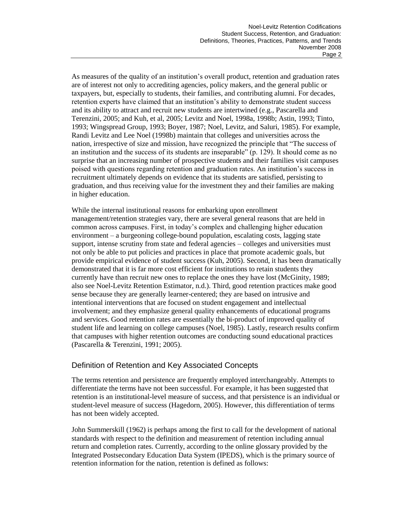As measures of the quality of an institution's overall product, retention and graduation rates are of interest not only to accrediting agencies, policy makers, and the general public or taxpayers, but, especially to students, their families, and contributing alumni. For decades, retention experts have claimed that an institution's ability to demonstrate student success and its ability to attract and recruit new students are intertwined (e.g., Pascarella and Terenzini, 2005; and Kuh, et al, 2005; Levitz and Noel, 1998a, 1998b; Astin, 1993; Tinto, 1993; Wingspread Group, 1993; Boyer, 1987; Noel, Levitz, and Saluri, 1985). For example, Randi Levitz and Lee Noel (1998b) maintain that colleges and universities across the nation, irrespective of size and mission, have recognized the principle that "The success of an institution and the success of its students are inseparable" (p. 129). It should come as no surprise that an increasing number of prospective students and their families visit campuses poised with questions regarding retention and graduation rates. An institution's success in recruitment ultimately depends on evidence that its students are satisfied, persisting to graduation, and thus receiving value for the investment they and their families are making in higher education.

While the internal institutional reasons for embarking upon enrollment management/retention strategies vary, there are several general reasons that are held in common across campuses. First, in today's complex and challenging higher education environment – a burgeoning college-bound population, escalating costs, lagging state support, intense scrutiny from state and federal agencies – colleges and universities must not only be able to put policies and practices in place that promote academic goals, but provide empirical evidence of student success (Kuh, 2005). Second, it has been dramatically demonstrated that it is far more cost efficient for institutions to retain students they currently have than recruit new ones to replace the ones they have lost (McGinity, 1989; also see Noel-Levitz Retention Estimator, n.d.). Third, good retention practices make good sense because they are generally learner-centered; they are based on intrusive and intentional interventions that are focused on student engagement and intellectual involvement; and they emphasize general quality enhancements of educational programs and services. Good retention rates are essentially the bi-product of improved quality of student life and learning on college campuses (Noel, 1985). Lastly, research results confirm that campuses with higher retention outcomes are conducting sound educational practices (Pascarella & Terenzini, 1991; 2005).

# Definition of Retention and Key Associated Concepts

The terms retention and persistence are frequently employed interchangeably. Attempts to differentiate the terms have not been successful. For example, it has been suggested that retention is an institutional-level measure of success, and that persistence is an individual or student-level measure of success (Hagedorn, 2005). However, this differentiation of terms has not been widely accepted.

John Summerskill (1962) is perhaps among the first to call for the development of national standards with respect to the definition and measurement of retention including annual return and completion rates. Currently, according to the online glossary provided by the Integrated Postsecondary Education Data System (IPEDS), which is the primary source of retention information for the nation, retention is defined as follows: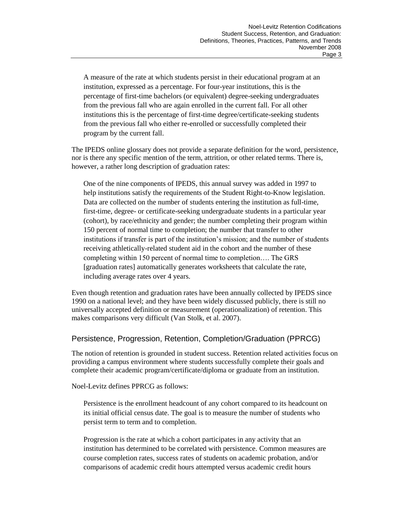A measure of the rate at which students persist in their educational program at an institution, expressed as a percentage. For four-year institutions, this is the percentage of first-time bachelors (or equivalent) degree-seeking undergraduates from the previous fall who are again enrolled in the current fall. For all other institutions this is the percentage of first-time degree/certificate-seeking students from the previous fall who either re-enrolled or successfully completed their program by the current fall.

The IPEDS online glossary does not provide a separate definition for the word, persistence, nor is there any specific mention of the term, attrition, or other related terms. There is, however, a rather long description of graduation rates:

One of the nine components of IPEDS, this annual survey was added in 1997 to help institutions satisfy the requirements of the Student Right-to-Know legislation. Data are collected on the number of students entering the institution as full-time, first-time, degree- or certificate-seeking undergraduate students in a particular year (cohort), by race/ethnicity and gender; the number completing their program within 150 percent of normal time to completion; the number that transfer to other institutions if transfer is part of the institution's mission; and the number of students receiving athletically-related student aid in the cohort and the number of these completing within 150 percent of normal time to completion…. The GRS [graduation rates] automatically generates worksheets that calculate the rate, including average rates over 4 years.

Even though retention and graduation rates have been annually collected by IPEDS since 1990 on a national level; and they have been widely discussed publicly, there is still no universally accepted definition or measurement (operationalization) of retention. This makes comparisons very difficult (Van Stolk, et al. 2007).

### Persistence, Progression, Retention, Completion/Graduation (PPRCG)

The notion of retention is grounded in student success. Retention related activities focus on providing a campus environment where students successfully complete their goals and complete their academic program/certificate/diploma or graduate from an institution.

Noel-Levitz defines PPRCG as follows:

Persistence is the enrollment headcount of any cohort compared to its headcount on its initial official census date. The goal is to measure the number of students who persist term to term and to completion.

Progression is the rate at which a cohort participates in any activity that an institution has determined to be correlated with persistence. Common measures are course completion rates, success rates of students on academic probation, and/or comparisons of academic credit hours attempted versus academic credit hours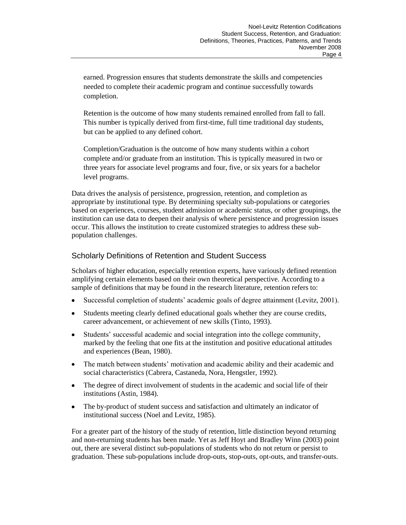earned. Progression ensures that students demonstrate the skills and competencies needed to complete their academic program and continue successfully towards completion.

Retention is the outcome of how many students remained enrolled from fall to fall. This number is typically derived from first-time, full time traditional day students, but can be applied to any defined cohort.

Completion/Graduation is the outcome of how many students within a cohort complete and/or graduate from an institution. This is typically measured in two or three years for associate level programs and four, five, or six years for a bachelor level programs.

Data drives the analysis of persistence, progression, retention, and completion as appropriate by institutional type. By determining specialty sub-populations or categories based on experiences, courses, student admission or academic status, or other groupings, the institution can use data to deepen their analysis of where persistence and progression issues occur. This allows the institution to create customized strategies to address these subpopulation challenges.

# Scholarly Definitions of Retention and Student Success

Scholars of higher education, especially retention experts, have variously defined retention amplifying certain elements based on their own theoretical perspective. According to a sample of definitions that may be found in the research literature, retention refers to:

- Successful completion of students' academic goals of degree attainment (Levitz, 2001).  $\bullet$
- $\bullet$ Students meeting clearly defined educational goals whether they are course credits, career advancement, or achievement of new skills (Tinto, 1993).
- $\bullet$ Students' successful academic and social integration into the college community, marked by the feeling that one fits at the institution and positive educational attitudes and experiences (Bean, 1980).
- The match between students' motivation and academic ability and their academic and  $\bullet$ social characteristics (Cabrera, Castaneda, Nora, Hengstler, 1992).
- The degree of direct involvement of students in the academic and social life of their institutions (Astin, 1984).
- The by-product of student success and satisfaction and ultimately an indicator of  $\bullet$ institutional success (Noel and Levitz, 1985).

For a greater part of the history of the study of retention, little distinction beyond returning and non-returning students has been made. Yet as Jeff Hoyt and Bradley Winn (2003) point out, there are several distinct sub-populations of students who do not return or persist to graduation. These sub-populations include drop-outs, stop-outs, opt-outs, and transfer-outs.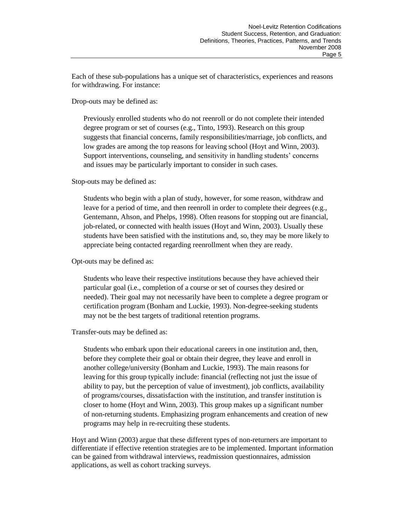Each of these sub-populations has a unique set of characteristics, experiences and reasons for withdrawing. For instance:

Drop-outs may be defined as:

Previously enrolled students who do not reenroll or do not complete their intended degree program or set of courses (e.g., Tinto, 1993). Research on this group suggests that financial concerns, family responsibilities/marriage, job conflicts, and low grades are among the top reasons for leaving school (Hoyt and Winn, 2003). Support interventions, counseling, and sensitivity in handling students' concerns and issues may be particularly important to consider in such cases.

Stop-outs may be defined as:

Students who begin with a plan of study, however, for some reason, withdraw and leave for a period of time, and then reenroll in order to complete their degrees (e.g., Gentemann, Ahson, and Phelps, 1998). Often reasons for stopping out are financial, job-related, or connected with health issues (Hoyt and Winn, 2003). Usually these students have been satisfied with the institutions and, so, they may be more likely to appreciate being contacted regarding reenrollment when they are ready.

Opt-outs may be defined as:

Students who leave their respective institutions because they have achieved their particular goal (i.e., completion of a course or set of courses they desired or needed). Their goal may not necessarily have been to complete a degree program or certification program (Bonham and Luckie, 1993). Non-degree-seeking students may not be the best targets of traditional retention programs.

Transfer-outs may be defined as:

Students who embark upon their educational careers in one institution and, then, before they complete their goal or obtain their degree, they leave and enroll in another college/university (Bonham and Luckie, 1993). The main reasons for leaving for this group typically include: financial (reflecting not just the issue of ability to pay, but the perception of value of investment), job conflicts, availability of programs/courses, dissatisfaction with the institution, and transfer institution is closer to home (Hoyt and Winn, 2003). This group makes up a significant number of non-returning students. Emphasizing program enhancements and creation of new programs may help in re-recruiting these students.

Hoyt and Winn (2003) argue that these different types of non-returners are important to differentiate if effective retention strategies are to be implemented. Important information can be gained from withdrawal interviews, readmission questionnaires, admission applications, as well as cohort tracking surveys.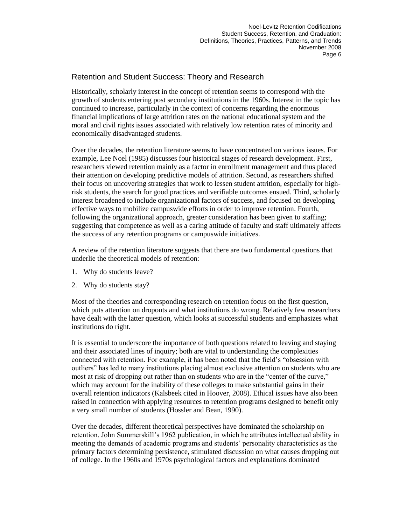# Retention and Student Success: Theory and Research

Historically, scholarly interest in the concept of retention seems to correspond with the growth of students entering post secondary institutions in the 1960s. Interest in the topic has continued to increase, particularly in the context of concerns regarding the enormous financial implications of large attrition rates on the national educational system and the moral and civil rights issues associated with relatively low retention rates of minority and economically disadvantaged students.

Over the decades, the retention literature seems to have concentrated on various issues. For example, Lee Noel (1985) discusses four historical stages of research development. First, researchers viewed retention mainly as a factor in enrollment management and thus placed their attention on developing predictive models of attrition. Second, as researchers shifted their focus on uncovering strategies that work to lessen student attrition, especially for highrisk students, the search for good practices and verifiable outcomes ensued. Third, scholarly interest broadened to include organizational factors of success, and focused on developing effective ways to mobilize campuswide efforts in order to improve retention. Fourth, following the organizational approach, greater consideration has been given to staffing; suggesting that competence as well as a caring attitude of faculty and staff ultimately affects the success of any retention programs or campuswide initiatives.

A review of the retention literature suggests that there are two fundamental questions that underlie the theoretical models of retention:

- 1. Why do students leave?
- 2. Why do students stay?

Most of the theories and corresponding research on retention focus on the first question, which puts attention on dropouts and what institutions do wrong. Relatively few researchers have dealt with the latter question, which looks at successful students and emphasizes what institutions do right.

It is essential to underscore the importance of both questions related to leaving and staying and their associated lines of inquiry; both are vital to understanding the complexities connected with retention. For example, it has been noted that the field's "obsession with outliers" has led to many institutions placing almost exclusive attention on students who are most at risk of dropping out rather than on students who are in the "center of the curve," which may account for the inability of these colleges to make substantial gains in their overall retention indicators (Kalsbeek cited in Hoover, 2008). Ethical issues have also been raised in connection with applying resources to retention programs designed to benefit only a very small number of students (Hossler and Bean, 1990).

Over the decades, different theoretical perspectives have dominated the scholarship on retention. John Summerskill's 1962 publication, in which he attributes intellectual ability in meeting the demands of academic programs and students' personality characteristics as the primary factors determining persistence, stimulated discussion on what causes dropping out of college. In the 1960s and 1970s psychological factors and explanations dominated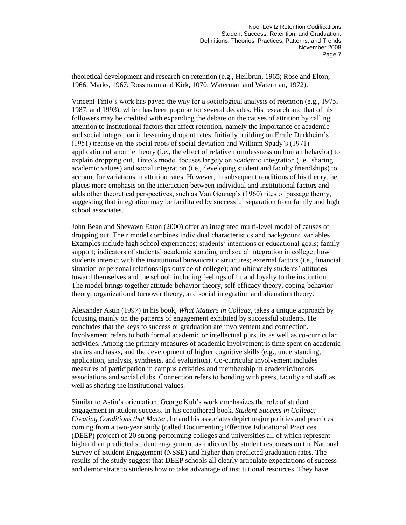theoretical development and research on retention (e.g., Heilbrun, 1965; Rose and Elton, 1966; Marks, 1967; Rossmann and Kirk, 1070; Waterman and Waterman, 1972).

Vincent Tinto's work has paved the way for a sociological analysis of retention (e.g., 1975, 1987, and 1993), which has been popular for several decades. His research and that of his followers may be credited with expanding the debate on the causes of attrition by calling attention to institutional factors that affect retention, namely the importance of academic and social integration in lessening dropout rates. Initially building on Emile Durkheim's (1951) treatise on the social roots of social deviation and William Spady's (1971) application of anomie theory (i.e., the effect of relative normlessness on human behavior) to explain dropping out, Tinto's model focuses largely on academic integration (i.e., sharing academic values) and social integration (i.e., developing student and faculty friendships) to account for variations in attrition rates. However, in subsequent renditions of his theory, he places more emphasis on the interaction between individual and institutional factors and adds other theoretical perspectives, such as Van Gennep's (1960) rites of passage theory, suggesting that integration may be facilitated by successful separation from family and high school associates.

John Bean and Shevawn Eaton (2000) offer an integrated multi-level model of causes of dropping out. Their model combines individual characteristics and background variables. Examples include high school experiences; students' intentions or educational goals; family support; indicators of students' academic standing and social integration in college; how students interact with the institutional bureaucratic structures; external factors (i.e., financial situation or personal relationships outside of college); and ultimately students' attitudes toward themselves and the school, including feelings of fit and loyalty to the institution. The model brings together attitude-behavior theory, self-efficacy theory, coping-behavior theory, organizational turnover theory, and social integration and alienation theory.

Alexander Astin (1997) in his book, *What Matters in College*, takes a unique approach by focusing mainly on the patterns of engagement exhibited by successful students. He concludes that the keys to success or graduation are involvement and connection. Involvement refers to both formal academic or intellectual pursuits as well as co-curricular activities. Among the primary measures of academic involvement is time spent on academic studies and tasks, and the development of higher cognitive skills (e.g., understanding, application, analysis, synthesis, and evaluation). Co-curricular involvement includes measures of participation in campus activities and membership in academic/honors associations and social clubs. Connection refers to bonding with peers, faculty and staff as well as sharing the institutional values.

Similar to Astin's orientation, George Kuh's work emphasizes the role of student engagement in student success. In his coauthored book, *Student Success in College: Creating Conditions that Matter*, he and his associates depict major policies and practices coming from a two-year study (called Documenting Effective Educational Practices (DEEP) project) of 20 strong-performing colleges and universities all of which represent higher than predicted student engagement as indicated by student responses on the National Survey of Student Engagement (NSSE) and higher than predicted graduation rates. The results of the study suggest that DEEP schools all clearly articulate expectations of success and demonstrate to students how to take advantage of institutional resources. They have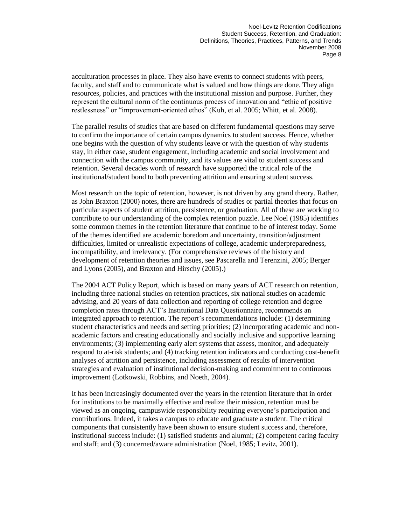acculturation processes in place. They also have events to connect students with peers, faculty, and staff and to communicate what is valued and how things are done. They align resources, policies, and practices with the institutional mission and purpose. Further, they represent the cultural norm of the continuous process of innovation and "ethic of positive restlessness" or "improvement-oriented ethos" (Kuh, et al. 2005; Whitt, et al. 2008).

The parallel results of studies that are based on different fundamental questions may serve to confirm the importance of certain campus dynamics to student success. Hence, whether one begins with the question of why students leave or with the question of why students stay, in either case, student engagement, including academic and social involvement and connection with the campus community, and its values are vital to student success and retention. Several decades worth of research have supported the critical role of the institutional/student bond to both preventing attrition and ensuring student success.

Most research on the topic of retention, however, is not driven by any grand theory. Rather, as John Braxton (2000) notes, there are hundreds of studies or partial theories that focus on particular aspects of student attrition, persistence, or graduation. All of these are working to contribute to our understanding of the complex retention puzzle. Lee Noel (1985) identifies some common themes in the retention literature that continue to be of interest today. Some of the themes identified are academic boredom and uncertainty, transition/adjustment difficulties, limited or unrealistic expectations of college, academic underpreparedness, incompatibility, and irrelevancy. (For comprehensive reviews of the history and development of retention theories and issues, see Pascarella and Terenzini, 2005; Berger and Lyons (2005), and Braxton and Hirschy (2005).)

The 2004 ACT Policy Report, which is based on many years of ACT research on retention, including three national studies on retention practices, six national studies on academic advising, and 20 years of data collection and reporting of college retention and degree completion rates through ACT's Institutional Data Questionnaire, recommends an integrated approach to retention. The report's recommendations include: (1) determining student characteristics and needs and setting priorities; (2) incorporating academic and nonacademic factors and creating educationally and socially inclusive and supportive learning environments; (3) implementing early alert systems that assess, monitor, and adequately respond to at-risk students; and (4) tracking retention indicators and conducting cost-benefit analyses of attrition and persistence, including assessment of results of intervention strategies and evaluation of institutional decision-making and commitment to continuous improvement (Lotkowski, Robbins, and Noeth, 2004).

It has been increasingly documented over the years in the retention literature that in order for institutions to be maximally effective and realize their mission, retention must be viewed as an ongoing, campuswide responsibility requiring everyone's participation and contributions. Indeed, it takes a campus to educate and graduate a student. The critical components that consistently have been shown to ensure student success and, therefore, institutional success include: (1) satisfied students and alumni; (2) competent caring faculty and staff; and (3) concerned/aware administration (Noel, 1985; Levitz, 2001).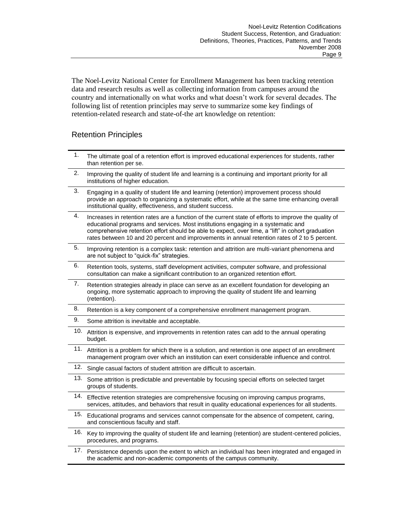The Noel-Levitz National Center for Enrollment Management has been tracking retention data and research results as well as collecting information from campuses around the country and internationally on what works and what doesn't work for several decades. The following list of retention principles may serve to summarize some key findings of retention-related research and state-of-the art knowledge on retention:

# Retention Principles

| 1.  | The ultimate goal of a retention effort is improved educational experiences for students, rather<br>than retention per se.                                                                                                                                                                                                                                                                       |
|-----|--------------------------------------------------------------------------------------------------------------------------------------------------------------------------------------------------------------------------------------------------------------------------------------------------------------------------------------------------------------------------------------------------|
| 2.  | Improving the quality of student life and learning is a continuing and important priority for all<br>institutions of higher education.                                                                                                                                                                                                                                                           |
| 3.  | Engaging in a quality of student life and learning (retention) improvement process should<br>provide an approach to organizing a systematic effort, while at the same time enhancing overall<br>institutional quality, effectiveness, and student success.                                                                                                                                       |
| 4.  | Increases in retention rates are a function of the current state of efforts to improve the quality of<br>educational programs and services. Most institutions engaging in a systematic and<br>comprehensive retention effort should be able to expect, over time, a "lift" in cohort graduation<br>rates between 10 and 20 percent and improvements in annual retention rates of 2 to 5 percent. |
| 5.  | Improving retention is a complex task: retention and attrition are multi-variant phenomena and<br>are not subject to "quick-fix" strategies.                                                                                                                                                                                                                                                     |
| 6.  | Retention tools, systems, staff development activities, computer software, and professional<br>consultation can make a significant contribution to an organized retention effort.                                                                                                                                                                                                                |
| 7.  | Retention strategies already in place can serve as an excellent foundation for developing an<br>ongoing, more systematic approach to improving the quality of student life and learning<br>(retention).                                                                                                                                                                                          |
| 8.  | Retention is a key component of a comprehensive enrollment management program.                                                                                                                                                                                                                                                                                                                   |
| 9.  | Some attrition is inevitable and acceptable.                                                                                                                                                                                                                                                                                                                                                     |
| 10. | Attrition is expensive, and improvements in retention rates can add to the annual operating<br>budget.                                                                                                                                                                                                                                                                                           |
| 11. | Attrition is a problem for which there is a solution, and retention is one aspect of an enrollment<br>management program over which an institution can exert considerable influence and control.                                                                                                                                                                                                 |
| 12. | Single casual factors of student attrition are difficult to ascertain.                                                                                                                                                                                                                                                                                                                           |
| 13. | Some attrition is predictable and preventable by focusing special efforts on selected target<br>groups of students.                                                                                                                                                                                                                                                                              |
| 14. | Effective retention strategies are comprehensive focusing on improving campus programs,<br>services, attitudes, and behaviors that result in quality educational experiences for all students.                                                                                                                                                                                                   |
|     | 15. Educational programs and services cannot compensate for the absence of competent, caring,<br>and conscientious faculty and staff.                                                                                                                                                                                                                                                            |
| 16. | Key to improving the quality of student life and learning (retention) are student-centered policies,<br>procedures, and programs.                                                                                                                                                                                                                                                                |
| 17. | Persistence depends upon the extent to which an individual has been integrated and engaged in<br>the academic and non-academic components of the campus community.                                                                                                                                                                                                                               |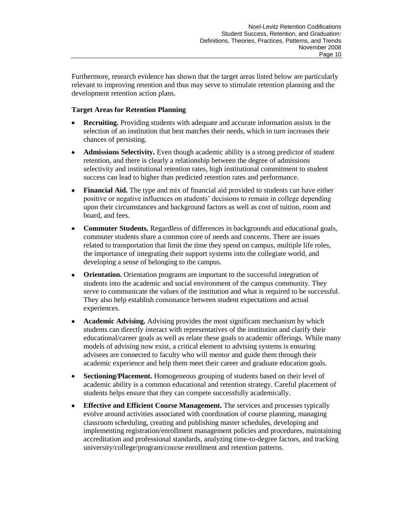Furthermore, research evidence has shown that the target areas listed below are particularly relevant to improving retention and thus may serve to stimulate retention planning and the development retention action plans.

### **Target Areas for Retention Planning**

- **Recruiting.** Providing students with adequate and accurate information assists in the  $\bullet$ selection of an institution that best matches their needs, which in turn increases their chances of persisting.
- **Admissions Selectivity.** Even though academic ability is a strong predictor of student  $\bullet$ retention, and there is clearly a relationship between the degree of admissions selectivity and institutional retention rates, high institutional commitment to student success can lead to higher than predicted retention rates and performance.
- **Financial Aid.** The type and mix of financial aid provided to students can have either  $\bullet$ positive or negative influences on students' decisions to remain in college depending upon their circumstances and background factors as well as cost of tuition, room and board, and fees.
- **Commuter Students.** Regardless of differences in backgrounds and educational goals, commuter students share a common core of needs and concerns. There are issues related to transportation that limit the time they spend on campus, multiple life roles, the importance of integrating their support systems into the collegiate world, and developing a sense of belonging to the campus.
- $\bullet$ **Orientation.** Orientation programs are important to the successful integration of students into the academic and social environment of the campus community. They serve to communicate the values of the institution and what is required to be successful. They also help establish consonance between student expectations and actual experiences.
- **Academic Advising.** Advising provides the most significant mechanism by which  $\bullet$ students can directly interact with representatives of the institution and clarify their educational/career goals as well as relate these goals to academic offerings. While many models of advising now exist, a critical element to advising systems is ensuring advisees are connected to faculty who will mentor and guide them through their academic experience and help them meet their career and graduate education goals.
- **Sectioning/Placement.** Homogeneous grouping of students based on their level of  $\bullet$ academic ability is a common educational and retention strategy. Careful placement of students helps ensure that they can compete successfully academically.
- **Effective and Efficient Course Management.** The services and processes typically  $\bullet$ evolve around activities associated with coordination of course planning, managing classroom scheduling, creating and publishing master schedules, developing and implementing registration/enrollment management policies and procedures, maintaining accreditation and professional standards, analyzing time-to-degree factors, and tracking university/college/program/course enrollment and retention patterns.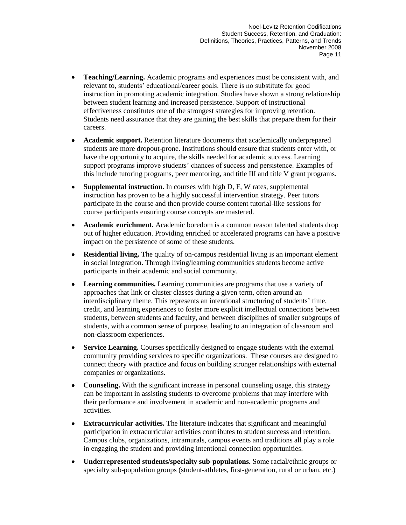- $\bullet$ **Teaching/Learning.** Academic programs and experiences must be consistent with, and relevant to, students' educational/career goals. There is no substitute for good instruction in promoting academic integration. Studies have shown a strong relationship between student learning and increased persistence. Support of instructional effectiveness constitutes one of the strongest strategies for improving retention. Students need assurance that they are gaining the best skills that prepare them for their careers.
- **Academic support.** Retention literature documents that academically underprepared  $\bullet$ students are more dropout-prone. Institutions should ensure that students enter with, or have the opportunity to acquire, the skills needed for academic success. Learning support programs improve students' chances of success and persistence. Examples of this include tutoring programs, peer mentoring, and title III and title V grant programs.
- **Supplemental instruction.** In courses with high D, F, W rates, supplemental  $\bullet$ instruction has proven to be a highly successful intervention strategy. Peer tutors participate in the course and then provide course content tutorial-like sessions for course participants ensuring course concepts are mastered.
- **Academic enrichment.** Academic boredom is a common reason talented students drop  $\bullet$ out of higher education. Providing enriched or accelerated programs can have a positive impact on the persistence of some of these students.
- **Residential living.** The quality of on-campus residential living is an important element in social integration. Through living/learning communities students become active participants in their academic and social community.
- $\bullet$ **Learning communities.** Learning communities are programs that use a variety of approaches that link or cluster classes during a given term, often around an interdisciplinary theme. This represents an intentional structuring of students' time, credit, and learning experiences to foster more explicit intellectual connections between students, between students and faculty, and between disciplines of smaller subgroups of students, with a common sense of purpose, leading to an integration of classroom and non-classroom experiences.
- **Service Learning.** Courses specifically designed to engage students with the external  $\bullet$ community providing services to specific organizations. These courses are designed to connect theory with practice and focus on building stronger relationships with external companies or organizations.
- **Counseling.** With the significant increase in personal counseling usage, this strategy can be important in assisting students to overcome problems that may interfere with their performance and involvement in academic and non-academic programs and activities.
- **Extracurricular activities.** The literature indicates that significant and meaningful participation in extracurricular activities contributes to student success and retention. Campus clubs, organizations, intramurals, campus events and traditions all play a role in engaging the student and providing intentional connection opportunities.
- $\bullet$ **Underrepresented students/specialty sub-populations.** Some racial/ethnic groups or specialty sub-population groups (student-athletes, first-generation, rural or urban, etc.)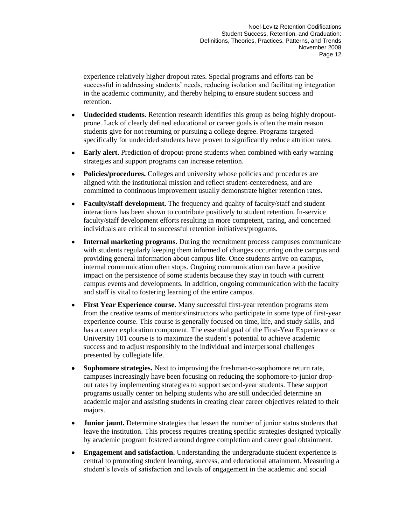experience relatively higher dropout rates. Special programs and efforts can be successful in addressing students' needs, reducing isolation and facilitating integration in the academic community, and thereby helping to ensure student success and retention.

- $\bullet$ **Undecided students.** Retention research identifies this group as being highly dropoutprone. Lack of clearly defined educational or career goals is often the main reason students give for not returning or pursuing a college degree. Programs targeted specifically for undecided students have proven to significantly reduce attrition rates.
- **Early alert.** Prediction of dropout-prone students when combined with early warning  $\bullet$ strategies and support programs can increase retention.
- $\bullet$ **Policies/procedures.** Colleges and university whose policies and procedures are aligned with the institutional mission and reflect student-centeredness, and are committed to continuous improvement usually demonstrate higher retention rates.
- **Faculty/staff development.** The frequency and quality of faculty/staff and student interactions has been shown to contribute positively to student retention. In-service faculty/staff development efforts resulting in more competent, caring, and concerned individuals are critical to successful retention initiatives/programs.
- **Internal marketing programs.** During the recruitment process campuses communicate  $\bullet$ with students regularly keeping them informed of changes occurring on the campus and providing general information about campus life. Once students arrive on campus, internal communication often stops. Ongoing communication can have a positive impact on the persistence of some students because they stay in touch with current campus events and developments. In addition, ongoing communication with the faculty and staff is vital to fostering learning of the entire campus.
- $\bullet$ **First Year Experience course.** Many successful first-year retention programs stem from the creative teams of mentors/instructors who participate in some type of first-year experience course. This course is generally focused on time, life, and study skills, and has a career exploration component. The essential goal of the First-Year Experience or University 101 course is to maximize the student's potential to achieve academic success and to adjust responsibly to the individual and interpersonal challenges presented by collegiate life.
- **Sophomore strategies.** Next to improving the freshman-to-sophomore return rate,  $\bullet$ campuses increasingly have been focusing on reducing the sophomore-to-junior dropout rates by implementing strategies to support second-year students. These support programs usually center on helping students who are still undecided determine an academic major and assisting students in creating clear career objectives related to their majors.
- **Junior jaunt.** Determine strategies that lessen the number of junior status students that  $\bullet$ leave the institution. This process requires creating specific strategies designed typically by academic program fostered around degree completion and career goal obtainment.
- **Engagement and satisfaction.** Understanding the undergraduate student experience is central to promoting student learning, success, and educational attainment. Measuring a student's levels of satisfaction and levels of engagement in the academic and social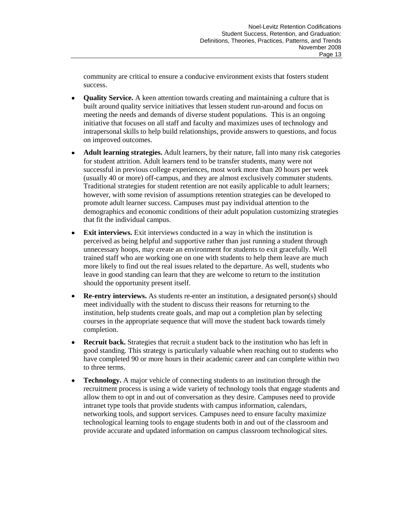community are critical to ensure a conducive environment exists that fosters student success.

- **Quality Service.** A keen attention towards creating and maintaining a culture that is  $\bullet$ built around quality service initiatives that lessen student run-around and focus on meeting the needs and demands of diverse student populations. This is an ongoing initiative that focuses on all staff and faculty and maximizes uses of technology and intrapersonal skills to help build relationships, provide answers to questions, and focus on improved outcomes.
- **Adult learning strategies.** Adult learners, by their nature, fall into many risk categories  $\bullet$ for student attrition. Adult learners tend to be transfer students, many were not successful in previous college experiences, most work more than 20 hours per week (usually 40 or more) off-campus, and they are almost exclusively commuter students. Traditional strategies for student retention are not easily applicable to adult learners; however, with some revision of assumptions retention strategies can be developed to promote adult learner success. Campuses must pay individual attention to the demographics and economic conditions of their adult population customizing strategies that fit the individual campus.
- **Exit interviews.** Exit interviews conducted in a way in which the institution is  $\bullet$ perceived as being helpful and supportive rather than just running a student through unnecessary hoops, may create an environment for students to exit gracefully. Well trained staff who are working one on one with students to help them leave are much more likely to find out the real issues related to the departure. As well, students who leave in good standing can learn that they are welcome to return to the institution should the opportunity present itself.
- $\bullet$ **Re-entry interviews.** As students re-enter an institution, a designated person(s) should meet individually with the student to discuss their reasons for returning to the institution, help students create goals, and map out a completion plan by selecting courses in the appropriate sequence that will move the student back towards timely completion.
- $\bullet$ **Recruit back.** Strategies that recruit a student back to the institution who has left in good standing. This strategy is particularly valuable when reaching out to students who have completed 90 or more hours in their academic career and can complete within two to three terms.
- $\bullet$ **Technology.** A major vehicle of connecting students to an institution through the recruitment process is using a wide variety of technology tools that engage students and allow them to opt in and out of conversation as they desire. Campuses need to provide intranet type tools that provide students with campus information, calendars, networking tools, and support services. Campuses need to ensure faculty maximize technological learning tools to engage students both in and out of the classroom and provide accurate and updated information on campus classroom technological sites.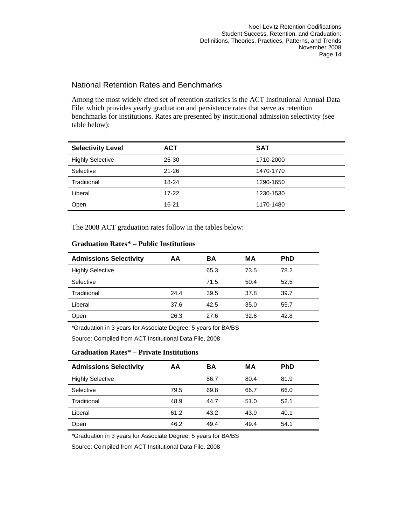## National Retention Rates and Benchmarks

Among the most widely cited set of retention statistics is the ACT Institutional Annual Data File, which provides yearly graduation and persistence rates that serve as retention benchmarks for institutions. Rates are presented by institutional admission selectivity (see table below):

| <b>Selectivity Level</b> | <b>ACT</b> | SAT       |
|--------------------------|------------|-----------|
| <b>Highly Selective</b>  | 25-30      | 1710-2000 |
| Selective                | $21 - 26$  | 1470-1770 |
| Traditional              | 18-24      | 1290-1650 |
| Liberal                  | $17 - 22$  | 1230-1530 |
| Open                     | 16-21      | 1170-1480 |

The 2008 ACT graduation rates follow in the tables below:

| <b>Admissions Selectivity</b> | ΑA   | BA   | МA   | <b>PhD</b> |  |
|-------------------------------|------|------|------|------------|--|
| <b>Highly Selective</b>       |      | 65.3 | 73.5 | 78.2       |  |
| Selective                     |      | 71.5 | 50.4 | 52.5       |  |
| Traditional                   | 24.4 | 39.5 | 37.8 | 39.7       |  |
| Liberal                       | 37.6 | 42.5 | 35.0 | 55.7       |  |
| Open                          | 26.3 | 27.6 | 32.6 | 42.8       |  |

#### **Graduation Rates\* – Public Institutions**

\*Graduation in 3 years for Associate Degree; 5 years for BA/BS

Source: Compiled from ACT Institutional Data File, 2008

### **Graduation Rates\* – Private Institutions**

| <b>Admissions Selectivity</b> | AA   | BA   | МA   | <b>PhD</b> |  |
|-------------------------------|------|------|------|------------|--|
| <b>Highly Selective</b>       |      | 86.7 | 80.4 | 81.9       |  |
| Selective                     | 79.5 | 69.8 | 66.7 | 66.0       |  |
| Traditional                   | 48.9 | 44.7 | 51.0 | 52.1       |  |
| Liberal                       | 61.2 | 43.2 | 43.9 | 40.1       |  |
| Open                          | 46.2 | 49.4 | 49.4 | 54.1       |  |

\*Graduation in 3 years for Associate Degree; 5 years for BA/BS

Source: Compiled from ACT Institutional Data File, 2008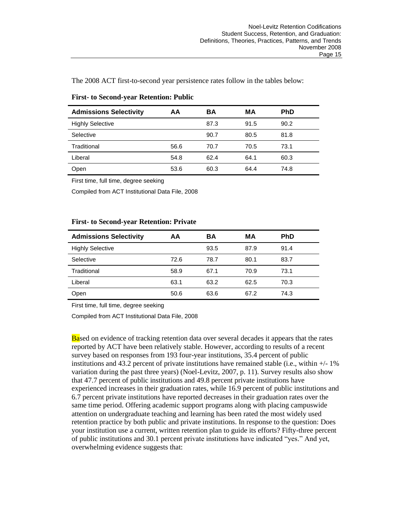The 2008 ACT first-to-second year persistence rates follow in the tables below:

| <b>Admissions Selectivity</b> | AA   | ВA   | MА   | <b>PhD</b> |  |
|-------------------------------|------|------|------|------------|--|
| <b>Highly Selective</b>       |      | 87.3 | 91.5 | 90.2       |  |
| Selective                     |      | 90.7 | 80.5 | 81.8       |  |
| Traditional                   | 56.6 | 70.7 | 70.5 | 73.1       |  |
| Liberal                       | 54.8 | 62.4 | 64.1 | 60.3       |  |
| Open                          | 53.6 | 60.3 | 64.4 | 74.8       |  |

#### **First- to Second-year Retention: Public**

First time, full time, degree seeking

Compiled from ACT Institutional Data File, 2008

#### **First- to Second-year Retention: Private**

| <b>Admissions Selectivity</b> | AA   | ΒA   | MА   | <b>PhD</b> |
|-------------------------------|------|------|------|------------|
| <b>Highly Selective</b>       |      | 93.5 | 87.9 | 91.4       |
| Selective                     | 72.6 | 78.7 | 80.1 | 83.7       |
| Traditional                   | 58.9 | 67.1 | 70.9 | 73.1       |
| Liberal                       | 63.1 | 63.2 | 62.5 | 70.3       |
| Open                          | 50.6 | 63.6 | 67.2 | 74.3       |

First time, full time, degree seeking

Compiled from ACT Institutional Data File, 2008

Based on evidence of tracking retention data over several decades it appears that the rates reported by ACT have been relatively stable. However, according to results of a recent survey based on responses from 193 four-year institutions, 35.4 percent of public institutions and 43.2 percent of private institutions have remained stable (i.e., within  $+/$ -1% variation during the past three years) (Noel-Levitz, 2007, p. 11). Survey results also show that 47.7 percent of public institutions and 49.8 percent private institutions have experienced increases in their graduation rates, while 16.9 percent of public institutions and 6.7 percent private institutions have reported decreases in their graduation rates over the same time period. Offering academic support programs along with placing campuswide attention on undergraduate teaching and learning has been rated the most widely used retention practice by both public and private institutions. In response to the question: Does your institution use a current, written retention plan to guide its efforts? Fifty-three percent of public institutions and 30.1 percent private institutions have indicated "yes." And yet, overwhelming evidence suggests that: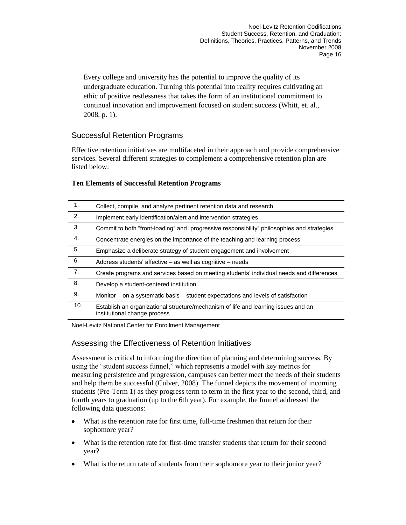Every college and university has the potential to improve the quality of its undergraduate education. Turning this potential into reality requires cultivating an ethic of positive restlessness that takes the form of an institutional commitment to continual innovation and improvement focused on student success (Whitt, et. al., 2008, p. 1).

# Successful Retention Programs

Effective retention initiatives are multifaceted in their approach and provide comprehensive services. Several different strategies to complement a comprehensive retention plan are listed below:

### **Ten Elements of Successful Retention Programs**

| 1.  | Collect, compile, and analyze pertinent retention data and research                                                |
|-----|--------------------------------------------------------------------------------------------------------------------|
| 2.  | Implement early identification/alert and intervention strategies                                                   |
| 3.  | Commit to both "front-loading" and "progressive responsibility" philosophies and strategies                        |
| 4.  | Concentrate energies on the importance of the teaching and learning process                                        |
| 5.  | Emphasize a deliberate strategy of student engagement and involvement                                              |
| 6.  | Address students' affective – as well as cognitive – needs                                                         |
| 7.  | Create programs and services based on meeting students' individual needs and differences                           |
| 8.  | Develop a student-centered institution                                                                             |
| 9.  | Monitor – on a systematic basis – student expectations and levels of satisfaction                                  |
| 10. | Establish an organizational structure/mechanism of life and learning issues and an<br>institutional change process |

Noel-Levitz National Center for Enrollment Management

### Assessing the Effectiveness of Retention Initiatives

Assessment is critical to informing the direction of planning and determining success. By using the "student success funnel," which represents a model with key metrics for measuring persistence and progression, campuses can better meet the needs of their students and help them be successful (Culver, 2008). The funnel depicts the movement of incoming students (Pre-Term 1) as they progress term to term in the first year to the second, third, and fourth years to graduation (up to the 6th year). For example, the funnel addressed the following data questions:

- What is the retention rate for first time, full-time freshmen that return for their  $\bullet$ sophomore year?
- What is the retention rate for first-time transfer students that return for their second year?
- What is the return rate of students from their sophomore year to their junior year?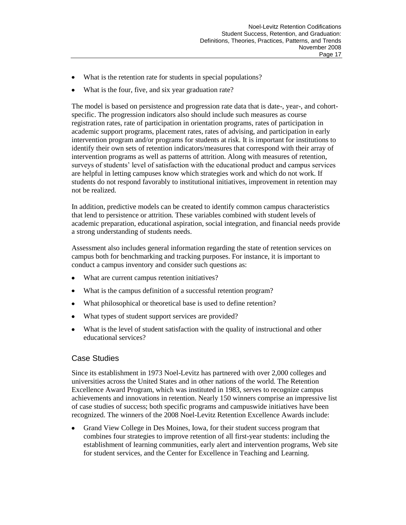- What is the retention rate for students in special populations?
- What is the four, five, and six year graduation rate?  $\bullet$

The model is based on persistence and progression rate data that is date-, year-, and cohortspecific. The progression indicators also should include such measures as course registration rates, rate of participation in orientation programs, rates of participation in academic support programs, placement rates, rates of advising, and participation in early intervention program and/or programs for students at risk. It is important for institutions to identify their own sets of retention indicators/measures that correspond with their array of intervention programs as well as patterns of attrition. Along with measures of retention, surveys of students' level of satisfaction with the educational product and campus services are helpful in letting campuses know which strategies work and which do not work. If students do not respond favorably to institutional initiatives, improvement in retention may not be realized.

In addition, predictive models can be created to identify common campus characteristics that lend to persistence or attrition. These variables combined with student levels of academic preparation, educational aspiration, social integration, and financial needs provide a strong understanding of students needs.

Assessment also includes general information regarding the state of retention services on campus both for benchmarking and tracking purposes. For instance, it is important to conduct a campus inventory and consider such questions as:

- What are current campus retention initiatives?  $\bullet$
- What is the campus definition of a successful retention program?  $\bullet$
- What philosophical or theoretical base is used to define retention?  $\bullet$
- What types of student support services are provided?  $\bullet$
- What is the level of student satisfaction with the quality of instructional and other educational services?

# Case Studies

Since its establishment in 1973 Noel-Levitz has partnered with over 2,000 colleges and universities across the United States and in other nations of the world. The Retention Excellence Award Program, which was instituted in 1983, serves to recognize campus achievements and innovations in retention. Nearly 150 winners comprise an impressive list of case studies of success; both specific programs and campuswide initiatives have been recognized. The winners of the 2008 Noel-Levitz Retention Excellence Awards include:

Grand View College in Des Moines, Iowa, for their student success program that combines four strategies to improve retention of all first-year students: including the establishment of learning communities, early alert and intervention programs, Web site for student services, and the Center for Excellence in Teaching and Learning.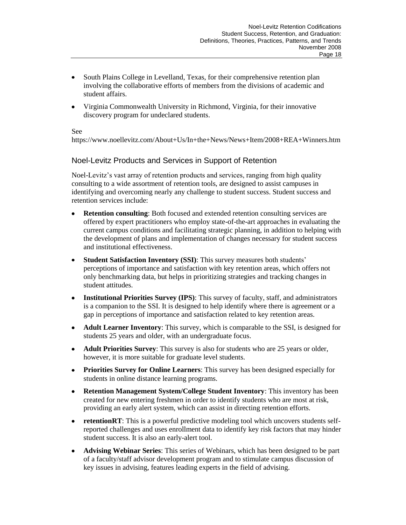- South Plains College in Levelland, Texas, for their comprehensive retention plan involving the collaborative efforts of members from the divisions of academic and student affairs.
- Virginia Commonwealth University in Richmond, Virginia, for their innovative discovery program for undeclared students.

#### See

https://www.noellevitz.com/About+Us/In+the+News/News+Item/2008+REA+Winners.htm

### Noel-Levitz Products and Services in Support of Retention

Noel-Levitz's vast array of retention products and services, ranging from high quality consulting to a wide assortment of retention tools, are designed to assist campuses in identifying and overcoming nearly any challenge to student success. Student success and retention services include:

- **Retention consulting**: Both focused and extended retention consulting services are  $\bullet$ offered by expert practitioners who employ state-of-the-art approaches in evaluating the current campus conditions and facilitating strategic planning, in addition to helping with the development of plans and implementation of changes necessary for student success and institutional effectiveness.
- **Student Satisfaction Inventory (SSI)**: This survey measures both students'  $\bullet$ perceptions of importance and satisfaction with key retention areas, which offers not only benchmarking data, but helps in prioritizing strategies and tracking changes in student attitudes.
- **Institutional Priorities Survey (IPS)**: This survey of faculty, staff, and administrators is a companion to the SSI. It is designed to help identify where there is agreement or a gap in perceptions of importance and satisfaction related to key retention areas.
- **Adult Learner Inventory**: This survey, which is comparable to the SSI, is designed for students 25 years and older, with an undergraduate focus.
- **Adult Priorities Survey**: This survey is also for students who are 25 years or older, however, it is more suitable for graduate level students.
- **Priorities Survey for Online Learners**: This survey has been designed especially for students in online distance learning programs.
- **Retention Management System/College Student Inventory**: This inventory has been  $\bullet$ created for new entering freshmen in order to identify students who are most at risk, providing an early alert system, which can assist in directing retention efforts.
- **retentionRT**: This is a powerful predictive modeling tool which uncovers students self- $\bullet$ reported challenges and uses enrollment data to identify key risk factors that may hinder student success. It is also an early-alert tool.
- **Advising Webinar Series**: This series of Webinars, which has been designed to be part of a faculty/staff advisor development program and to stimulate campus discussion of key issues in advising, features leading experts in the field of advising.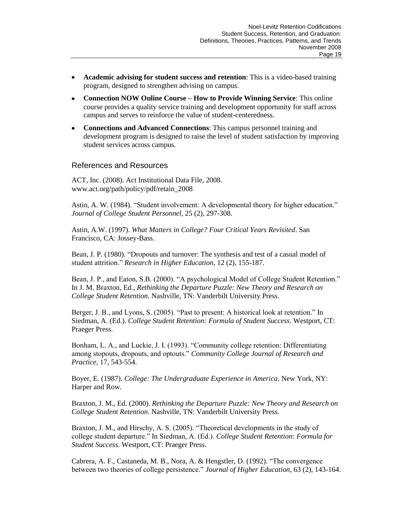- **Academic advising for student success and retention**: This is a video-based training program, designed to strengthen advising on campus.
- **Connection NOW Online Course – How to Provide Winning Service**: This online course provides a quality service training and development opportunity for staff across campus and serves to reinforce the value of student-centeredness.
- **Connections and Advanced Connections**: This campus personnel training and development program is designed to raise the level of student satisfaction by improving student services across campus.

### References and Resources

ACT, Inc. (2008). Act Institutional Data File, 2008. www.act.org/path/policy/pdf/retain\_2008

Astin, A. W. (1984). "Student involvement: A developmental theory for higher education." *Journal of College Student Personnel*, 25 (2), 297-308.

Astin, A.W. (1997). *What Matters in College? Four Critical Years Revisited*. San Francisco, CA: Jossey-Bass.

Bean, J. P. (1980). "Dropouts and turnover: The synthesis and test of a casual model of student attrition." *Research in Higher Education*, 12 (2), 155-187.

Bean, J. P., and Eaton, S.B. (2000). "A psychological Model of College Student Retention." In J. M. Braxton, Ed., *Rethinking the Departure Puzzle: New Theory and Research on College Student Retention*. Nashville, TN: Vanderbilt University Press.

Berger, J. B., and Lyons, S. (2005). "Past to present: A historical look at retention." In Siedman, A. (Ed.). *College Student Retention: Formula of Student Success*. Westport, CT: Praeger Press.

Bonham, L. A., and Luckie, J. I. (1993). "Community college retention: Differentiating among stopouts, dropouts, and optouts." *Community College Journal of Research and Practice*, 17, 543-554.

Boyer, E. (1987). *College: The Undergraduate Experience in America*. New York, NY: Harper and Row.

Braxton, J. M., Ed. (2000). *Rethinking the Departure Puzzle: New Theory and Research on College Student Retention*. Nashville, TN: Vanderbilt University Press.

Braxton, J. M., and Hirschy, A. S. (2005). "Theoretical developments in the study of college student departure." In Siedman, A. (Ed.). *College Student Retention: Formula for Student Success*. Westport, CT: Praeger Press.

Cabrera, A. F., Castaneda, M. B., Nora, A. & Hengstler, D. (1992). "The convergence between two theories of college persistence." *Journal of Higher Education*, 63 (2), 143-164.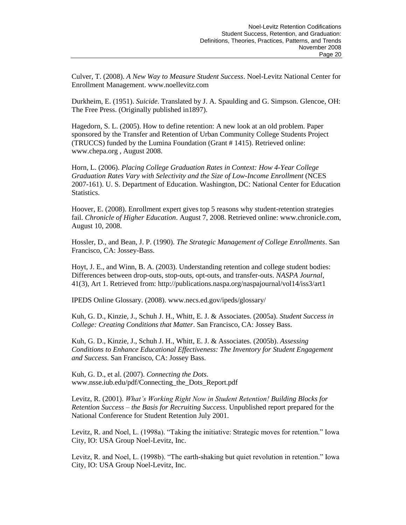Culver, T. (2008). *A New Way to Measure Student Success*. Noel-Levitz National Center for Enrollment Management. www.noellevitz.com

Durkheim, E. (1951). *Suicide*. Translated by J. A. Spaulding and G. Simpson. Glencoe, OH: The Free Press. (Originally published in1897).

Hagedorn, S. L. (2005). How to define retention: A new look at an old problem. Paper sponsored by the Transfer and Retention of Urban Community College Students Project (TRUCCS) funded by the Lumina Foundation (Grant # 1415). Retrieved online: www.chepa.org , August 2008.

Horn, L. (2006). *Placing College Graduation Rates in Context: How 4-Year College Graduation Rates Vary with Selectivity and the Size of Low-Income Enrollment* (NCES 2007-161). U. S. Department of Education. Washington, DC: National Center for Education Statistics.

Hoover, E. (2008). Enrollment expert gives top 5 reasons why student-retention strategies fail. *Chronicle of Higher Education*. August 7, 2008. Retrieved online: www.chronicle.com, August 10, 2008.

Hossler, D., and Bean, J. P. (1990). *The Strategic Management of College Enrollments*. San Francisco, CA: Jossey-Bass.

Hoyt, J. E., and Winn, B. A. (2003). Understanding retention and college student bodies: Differences between drop-outs, stop-outs, opt-outs, and transfer-outs. *NASPA Journal*, 41(3), Art 1. Retrieved from: http://publications.naspa.org/naspajournal/vol14/iss3/art1

IPEDS Online Glossary. (2008). www.necs.ed.gov/ipeds/glossary/

Kuh, G. D., Kinzie, J., Schuh J. H., Whitt, E. J. & Associates. (2005a). *Student Success in College: Creating Conditions that Matter*. San Francisco, CA: Jossey Bass.

Kuh, G. D., Kinzie, J., Schuh J. H., Whitt, E. J. & Associates. (2005b). *Assessing Conditions to Enhance Educational Effectiveness: The Inventory for Student Engagement and Success*. San Francisco, CA: Jossey Bass.

Kuh, G. D., et al. (2007). *Connecting the Dots*. www.nsse.iub.edu/pdf/Connecting\_the\_Dots\_Report.pdf

Levitz, R. (2001). *What's Working Right Now in Student Retention! Building Blocks for Retention Success – the Basis for Recruiting Success*. Unpublished report prepared for the National Conference for Student Retention July 2001.

Levitz, R. and Noel, L. (1998a). "Taking the initiative: Strategic moves for retention." Iowa City, IO: USA Group Noel-Levitz, Inc.

Levitz, R. and Noel, L. (1998b). "The earth-shaking but quiet revolution in retention." Iowa City, IO: USA Group Noel-Levitz, Inc.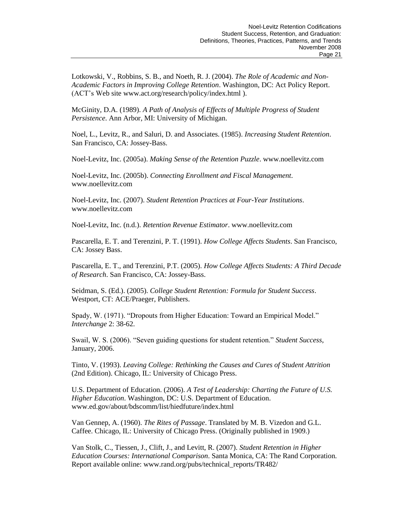Lotkowski, V., Robbins, S. B., and Noeth, R. J. (2004). *The Role of Academic and Non-Academic Factors in Improving College Retention*. Washington, DC: Act Policy Report. (ACT's Web site www.act.org/research/policy/index.html ).

McGinity, D.A. (1989). *A Path of Analysis of Effects of Multiple Progress of Student Persistence*. Ann Arbor, MI: University of Michigan.

Noel, L., Levitz, R., and Saluri, D. and Associates. (1985). *Increasing Student Retention*. San Francisco, CA: Jossey-Bass.

Noel-Levitz, Inc. (2005a). *Making Sense of the Retention Puzzle*. www.noellevitz.com

Noel-Levitz, Inc. (2005b). *Connecting Enrollment and Fiscal Management*. www.noellevitz.com

Noel-Levitz, Inc. (2007). *Student Retention Practices at Four-Year Institutions*. www.noellevitz.com

Noel-Levitz, Inc. (n.d.). *Retention Revenue Estimator*. www.noellevitz.com

Pascarella, E. T. and Terenzini, P. T. (1991). *How College Affects Students*. San Francisco, CA: Jossey Bass.

Pascarella, E. T., and Terenzini, P.T. (2005). *How College Affects Students: A Third Decade of Research*. San Francisco, CA: Jossey-Bass.

Seidman, S. (Ed.). (2005). *College Student Retention: Formula for Student Success*. Westport, CT: ACE/Praeger, Publishers.

Spady, W. (1971). "Dropouts from Higher Education: Toward an Empirical Model." *Interchange* 2: 38-62.

Swail, W. S. (2006). "Seven guiding questions for student retention." *Student Success*, January, 2006.

Tinto, V. (1993). *Leaving College: Rethinking the Causes and Cures of Student Attrition* (2nd Edition). Chicago, IL: University of Chicago Press.

U.S. Department of Education. (2006). *A Test of Leadership: Charting the Future of U.S. Higher Education*. Washington, DC: U.S. Department of Education. www.ed.gov/about/bdscomm/list/hiedfuture/index.html

Van Gennep, A. (1960). *The Rites of Passage*. Translated by M. B. Vizedon and G.L. Caffee. Chicago, IL: University of Chicago Press. (Originally published in 1909.)

Van Stolk, C., Tiessen, J., Clift, J., and Levitt, R. (2007). *Student Retention in Higher Education Courses: International Comparison*. Santa Monica, CA: The Rand Corporation. Report available online: www.rand.org/pubs/technical\_reports/TR482/